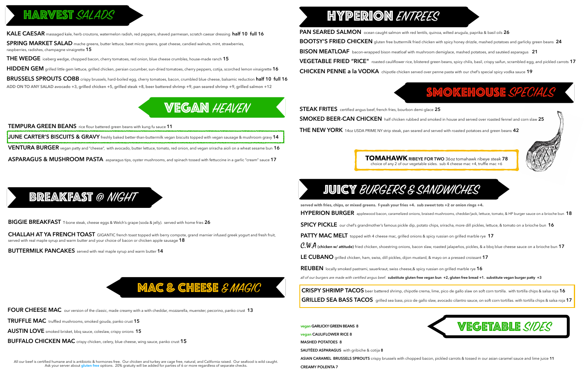## **HARVEST SALADS**

**KALE CAESAR** massaged kale, herb croutons, watermelon radish, red peppers, shaved parmesan, scratch caesar dressing **half 10 full 16**

**SPRING MARKET SALAD** mache greens, butter lettuce, beet micro greens, goat cheese, candied walnuts, mint, strawberries, raspberries, radishes, champagne vinaigrette **15**

**THE WEDGE** iceberg wedge, chopped bacon, cherry tomatoes, red onion, blue cheese crumbles, house-made ranch **15**

**HIDDEN GEM** grilled little gem lettuce, grilled chicken, persian cucumber, sun-dried tomatoes, cherry peppers, cotija, scorched lemon vinaigrette **16** 

**BRUSSELS SPROUTS COBB** crispy brussels, hard-boiled egg, cherry tomatoes, bacon, crumbled blue cheese, balsamic reduction **half 10 full 16 ADD ON TO ANY SALAD avocado +3, grilled chicken +5, grilled steak +8, beer battered shrimp +9, pan seared shrimp +9, grilled salmon +12**

## **VEGAN HEAVEN**

**TEMPURA GREEN BEANS** rice flour battered green beans with kung fu sauce **11 JUNE CARTER'S BISCUITS & GRAVY** freshly baked better-than-buttermilk vegan biscuits topped with vegan sausage & mushroom gravy **14 VENTURA BURGER** vegan patty and "cheese", with avocado, butter lettuce, tomato, red onion, and vegan sriracha aioli on a wheat sesame bun **16 ASPARAGUS & MUSHROOM PASTA** asparagus tips, oyster mushrooms, and spinach tossed with fettuccine in a garlic "cream" sauce **17**

**BIGGIE BREAKFAST** T-bone steak, cheese eggs & Welch's grape (soda & jelly). served with home fries **26**

**CHALLAH AT YA FRENCH TOAST** GIGANTIC french toast topped with berry compote, grand marnier infused greek yogurt and fresh fruit, served with real maple syrup and warm butter and your choice of bacon or chicken apple sausage **18**

**BUTTERMILK PANCAKES** served with real maple syrup and warm butter **14**

# **MAC & CHEESE** & MAGIC

### BREAKFAST @ NIGHT

All our beef is certified humane and is antibiotic & hormones free. Our chicken and turkey are cage free, natural, and California raised. Our seafood is wild caught. Ask your server about **gluten free** options. 20% gratuity will be added for parties of 6 or more regardless of separate checks.

# **HYPERION ENTREES**

- 
- **BOOTSY'S FRIED CHICKEN** gluten free buttermilk fried chicken with spicy honey drizzle, mashed potatoes and garlicky green beans **24**
	-
	-
	-

## SMOKEHOUSE *SPECIALS*

- 
- 

**PAN SEARED SALMON** ocean caught salmon with red lentils, quinoa, wilted arugula, paprika & basil oils **26 BISON MEATLOAF** bacon-wrapped bison meatloaf with mushroom demiglace, mashed potatoes, and sautéed asparagus **21 VEGETABLE FRIED "RICE"** roasted cauliflower rice, blistered green beans, spicy chilis, basil, crispy saifun, scrambled egg, and pickled carrots **17 CHICKEN PENNE a la VODKA** chipotle chicken served over penne pasta with our chef's special spicy vodka sauce **19**



**STEAK FRITES** certified angus beef, french fries, bourbon demi-glace **25 SMOKED BEER-CAN CHICKEN** half chicken rubbed and smoked in house and served over roasted fennel and corn slaw **25 THE NEW YORK** 14oz USDA PRIME NY strip steak, pan seared and served with roasted potatoes and green beans **42**

# JUICY BURGERS & SANDWICHES

**served with fries, chips, or mixed greens. f-yeah your fries +4. sub sweet tots +2 or onion rings +4.** **HYPERION BURGER** applewood bacon, caramelized onions, braised mushrooms, cheddar/jack, lettuce, tomato, & HP burger sauce on a brioche bun **18 SPICY PICKLE** our chef's grandmother's famous pickle dip, potato chips, sriracha, more dill pickles, lettuce, & tomato on a brioche bun**16 PATTY MAC MELT** topped with 4 cheese mac, grilled onions & spicy russian on grilled marble rye **17**  C.W.A **(chicken w/ attitude)** fried chicken, shoestring onions, bacon slaw, roasted jalapeños, pickles, & a bbq blue cheese sauce on a brioche bun**<sup>17</sup> LE CUBANO** grilled chicken, ham, swiss, dill pickles, dijon mustard, & mayo on a pressed croissant **17 REUBEN** locally smoked pastrami, sauerkraut, swiss cheese,& spicy russian on grilled marble rye **16**  *all of our burgers are made with certified angus beef.* **substitute gluten free vegan bun +2, gluten free bread +1. substitute vegan burger patty +3 CRISPY SHRIMP TACOS** beer battered shrimp, chipotle crema, lime, pico de gallo slaw on soft corn tortilla. with tortilla chips & salsa roja **16**

**GRILLED SEA BASS TACOS** grilled sea bass, pico de gallo slaw, avocado cilantro sauce, on soft corn tortillas. with tortilla chips & salsa roja **17**

**TOMAHAWK RIBEYE FOR TWO** 36oz tomahawk ribeye steak **78**  choice of any 2 of our vegetable sides. sub 4 cheese mac +4, truffle mac +6



**FOUR CHEESE MAC** our version of the classic, made creamy with a with cheddar, mozzarella, muenster, pecorino, panko crust **13**

**TRUFFLE MAC** truffled mushrooms, smoked gouda, panko crust **15**

**AUSTIN LOVE** smoked brisket, bbq sauce, coleslaw, crispy onions **15**

**BUFFALO CHICKEN MAC** crispy chicken, celery, blue cheese, wing sauce, panko crust **15**

**vegan GARLICKY GREEN BEANS 8 vegan CAULIFLOWER RICE 8 MASHED POTATOES 8 SAUTÉED ASPARAGUS** with gribiche & cotija **8 ASIAN CARAMEL BRUSSELS SPROUTS** crispy brussels with chopped bacon, pickled carrots & tossed in our asian caramel sauce and lime juice **11 CREAMY POLENTA 7**